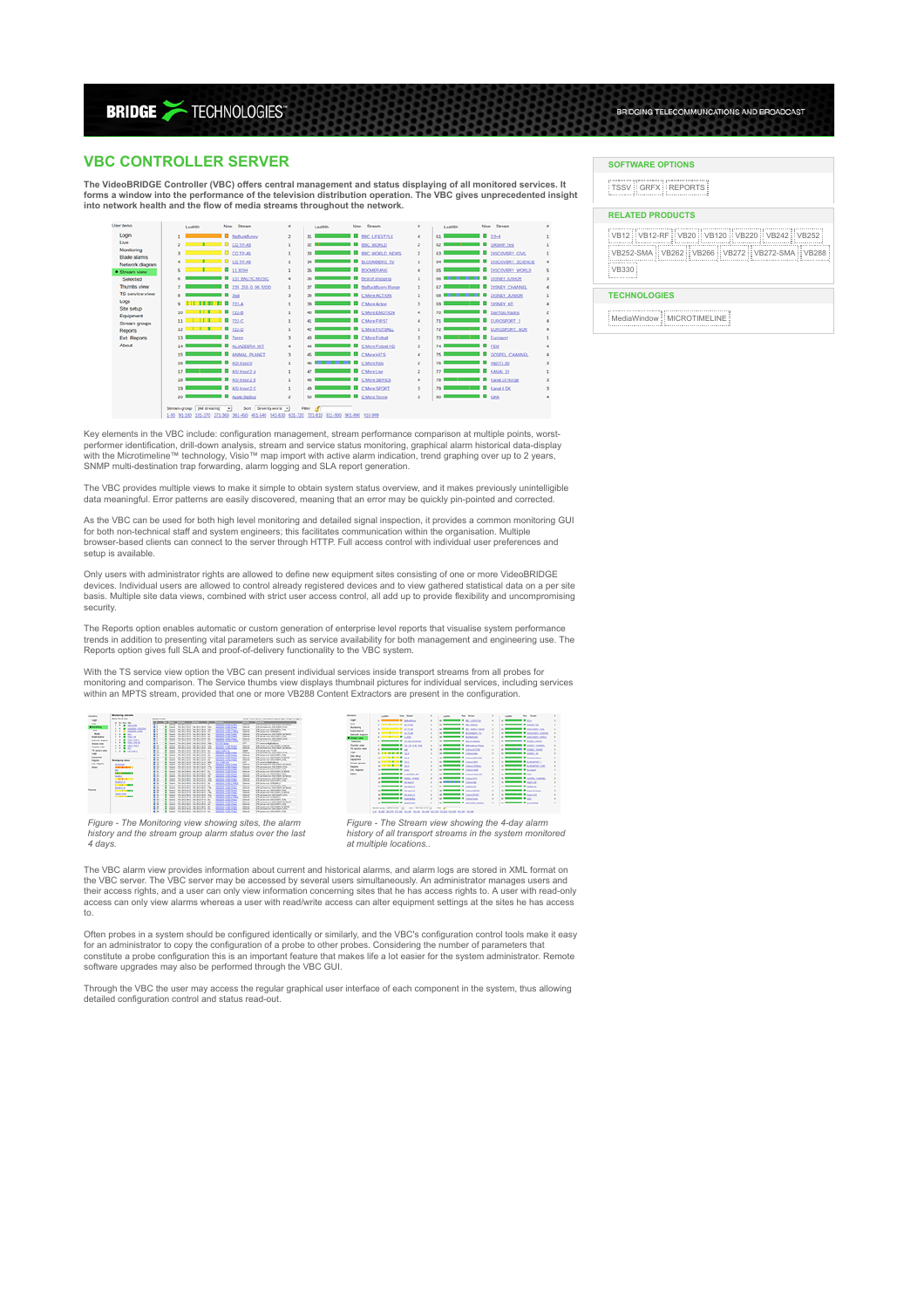**BRIDGE >TECHNOLOGIES** 

# **VBC CONTROLLER SERVER**

**The VideoBRIDGE Controller (VBC) offers central management and status displaying of all monitored services. It forms a window into the performance of the television distribution operation. The VBC gives unprecedented insight into network health and the flow of media streams throughout the network.**



Key elements in the VBC include: configuration management, stream performance comparison at multiple points, worst-<br>performer identification, drill-down analysis, stream and service status monitoring, graphical alarm hist

The VBC provides multiple views to make it simple to obtain system status overview, and it makes previously unintelligible data meaningful. Error patterns are easily discovered, meaning that an error may be quickly pin-pointed and corrected

As the VBC can be used for both high level monitoring and detailed signal inspection, it provides a common monitoring GUI<br>for both non-technical staff and system engineers; this facilitates communication within the organis setup is available.

Only users with administrator rights are allowed to define new equipment sites consisting of one or more VideoBRIDGE devices. Individual users are allowed to control already registered devices and to view gathered statistical data on a per site basis. Multiple site data views, combined with strict user access control, all add up to provide flexibility and uncompromising security.

The Reports option enables automatic or custom generation of enterprise level reports that visualise system performance trends in addition to presenting vital parameters such as service availability for both management and engineering use. The Reports option gives full SLA and proof-of-delivery functionality to the VBC system.

With the TS service view option the VBC can present individual services inside transport streams from all probes for monitoring and comparison. The Service thumbs view displays thumbnail pictures for individual services, including services<br>within an MPTS stream, provided that one or more VB288 Content Extractors are present in the config



| <b>DE ATA</b>                    | <b>Louisville</b> | No. Now.                      | $\mathbb{R}$ | <b>Contractor</b> | Not Noter                        | $\sim$       | a contract of the con- | No. Boat                                  | $\alpha$     |
|----------------------------------|-------------------|-------------------------------|--------------|-------------------|----------------------------------|--------------|------------------------|-------------------------------------------|--------------|
| Legel .                          |                   | a second a second             | ٠            |                   | a member is an attended          |              | <b>STATISTICS</b>      |                                           |              |
| 급                                |                   | a member in case.             |              |                   | a member is accepted.            | ٠            |                        | or successful at the first line           |              |
| Mothers                          |                   | a comment is come.            | ×            |                   | a <b>more of an and son</b>      | $\mathbf{r}$ |                        | a <b>comment</b> & passed on              |              |
| <b>Holt date:</b>                |                   | a member of called            | ٠            |                   | to account a substitute of       | ×            |                        | as <b>measured at anomalous</b>           | ٠            |
| <b>National Bagnery</b>          |                   | <b>Constitution of Labour</b> | ×            |                   | a <b>more a</b> similar          |              |                        | a <b>more of paintings</b>                | $\mathbf{u}$ |
| <b><i><u>A Group and</u></i></b> |                   |                               |              |                   |                                  | ٠            |                        |                                           |              |
| <b>Salesman</b>                  |                   | a member of production        | $\sim$       |                   | a member is account.             | ×            |                        | a success & population                    |              |
| <b><i><u>Burde des :</u></i></b> |                   | <b>COMMERCIAL PROPERTY</b>    | $\sim$       |                   | a member is adultation           | ×            |                        | of <b>Reserves &amp; Local County</b>     |              |
| Th adults sing                   |                   |                               | ×            |                   | a measure is conceived.          | ×            |                        | a <b>STRONGER &amp;</b> LOAN AND          |              |
| <b>LAW</b>                       |                   | a strategie in the            | ×            |                   | a more of Country                | ٠            |                        | a <b>comment of contrast</b>              |              |
| the sales                        |                   | <b>STATISTICS</b>             | ×            |                   | a <b>more a</b> contractor       | $\sim$       |                        | a <b>more of</b> talentes.                |              |
| Espierant                        |                   | <b>STATISTICS</b> INC.        | ٠            |                   | a measure is consisted.          | ×            |                        | In the company's and the company's        |              |
| Smart groups                     |                   | or managers in the            |              |                   |                                  |              |                        |                                           |              |
| <b>Based</b>                     |                   |                               | ٠            |                   | a <b>more a</b> capabilities.    | ×            |                        | to account a construction                 |              |
| <b>Ext. Reports</b>              |                   | <b>STATISTICS</b>             | ×            |                   | a <b>more a</b> causal of        | ×            |                        | In the company of Local II                |              |
| most.                            |                   | a <b>more a</b> again of      | ٠            |                   | a <b>more in continued</b>       | ×.           |                        | <b>STATISTICS</b>                         |              |
|                                  |                   | a <b>more in contract</b>     | ٠            |                   | a measure & causes               | $\alpha$     |                        | A <b>BELLEVILLE &amp;</b> SCOTL CHECK     |              |
|                                  |                   | a more in colorado            | ٠            |                   | a <b>Similar and A</b> Country   | ×            |                        | <b>No. Management of Australian</b>       |              |
|                                  |                   | or successive distances of    | ٠            |                   | of the process of the process of | $\mathbf{r}$ |                        | or support the same of                    |              |
|                                  |                   | a more in consumer            | ٠            |                   | a <b>more a</b> cannot           | $\sim$       |                        | <b>No. of Concession, National Action</b> |              |
|                                  |                   | a <b>more in colorado</b>     |              |                   |                                  |              |                        | In the company of Assessed                |              |
|                                  |                   |                               | ٠            |                   | a member is constant             | ٠            |                        |                                           |              |
|                                  |                   | a <b>more a</b> substant      |              |                   | a more of Continue.              | $\mathbf{r}$ | $-$                    |                                           |              |
|                                  |                   | a <b>more of an inter-</b>    |              |                   | a <b>more of personal and</b>    | ×            |                        | a more a compa-                           |              |

*Figure - The Monitoring view showing sites, the alarm history and the stream group alarm status over the last 4 days.*

*Figure - The Stream view showing the 4-day alarm history of all transport streams in the system monitored at multiple locations..*

The VBC alarm view provides information about current and historical alarms, and alarm logs are stored in XML format on the VBC server. The VBC server may be accessed by several users simultaneously. An administrator manages users and their access rights, and a user can only view information concerning sites that he has access rights to. A user with read-only<br>access can only view alarms whereas a user with read/write access can alter equipment settings to.

Often probes in a system should be configured identically or similarly, and the VBC's configuration control tools make it easy for an administrator to copy the configuration of a probe to other probes. Considering the number of parameters that constitute a probe configuration this is an important feature that makes life a lot easier for the system administrator. Remote software upgrades may also be performed through the VBC GUI.

Through the VBC the user may access the regular graphical user interface of each component in the system, thus allowing detailed configuration control and status read-out.

### **SOFTWARE OPTIONS**

TSSV GRFX REPORTS

## **RELATED PRODUCTS**

VB12 VB12-RF VB20 VB120 VB220 VB242 VB252 VB252-SMA VB262 VB266 VB272 VB272-SMA VB288 ..............<br>VR330

BRIDGING TELECOMMUNCATIONS AND BROADCAST

### **TECHNOLOGIES**

MediaWindow MICROTIMELINE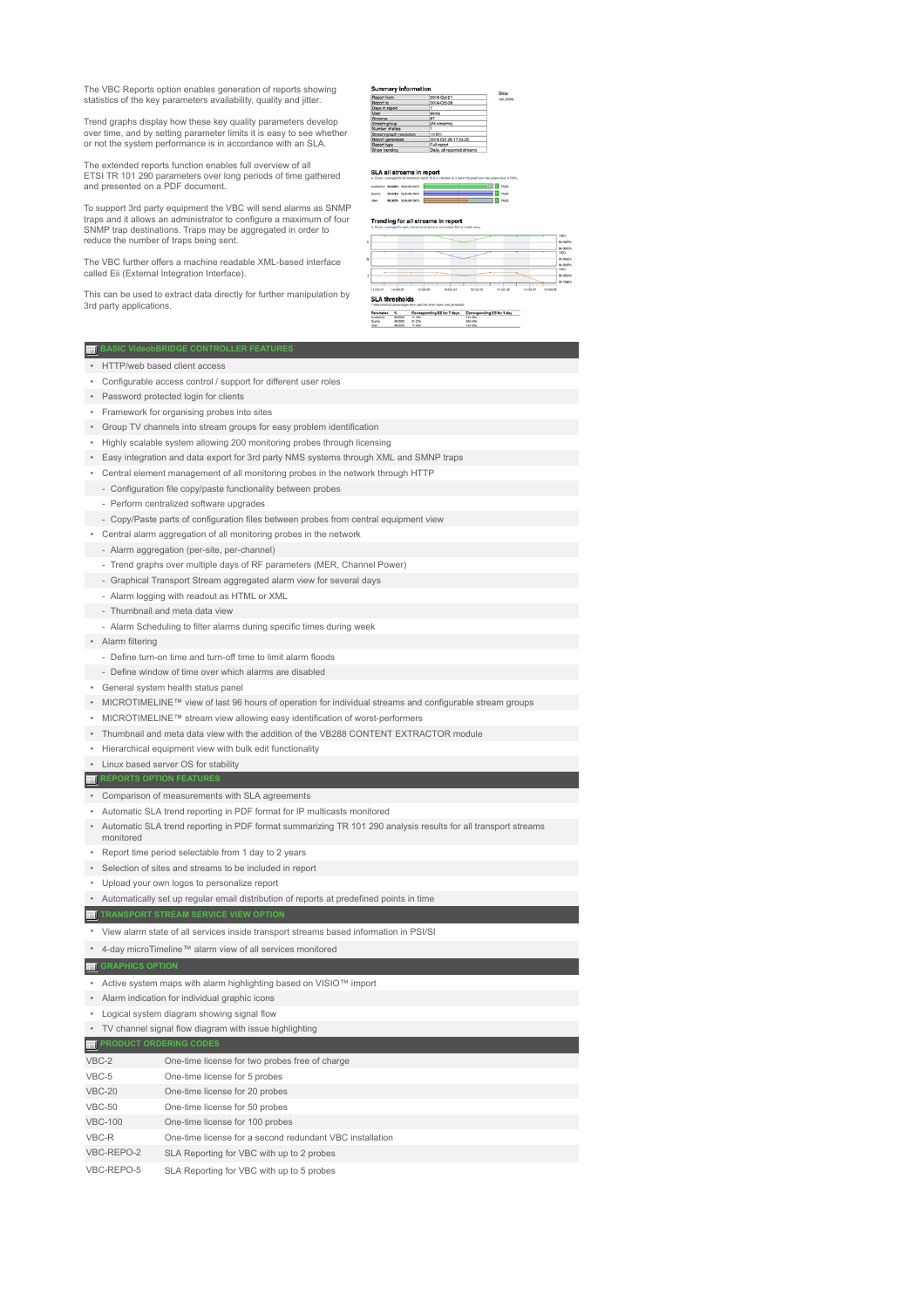The VBC Reports option enables generation of reports showing statistics of the key parameters availability, quality and jitter.

Trend graphs display how these key quality parameters develop over time, and by setting parameter limits it is easy to see whether or not the system performance is in accordance with an SLA.

The extended reports function enables full overview of all ETSI TR 101 290 parameters over long periods of time gathered and presented on a PDF document.

To support 3rd party equipment the VBC will send alarms as SNMP<br>traps and it allows an administrator to configure a maximum of four<br>SNMP trap destinations. Traps may be aggregated in order to<br>reduce the number of traps bei

The VBC further offers a machine readable XML-based interface called Eii (External Integration Interface).

This can be used to extract data directly for further manipulation by 3rd party applications.

#### **Summary information** Sites:<br>100,00% Summary<br>
Report from<br>
Report to<br>
Days in report<br>
Days in report<br>
Stream<br>
Stream graph report<br>
Report type<br>
Report type<br>
Show trending 2014-Oct-21<br>2014-Oct-28 demo<br>87<br>[Al streams]<br>1<br>1h On 1<br>1h 0m<br>2014 Oct 28 17:24:20 report<br>y, all reported streams

**SLA all streams in report** Quality:<br>Jiber:

| -09.000% |  | PASS |
|----------|--|------|
| 40,000%  |  | PASS |
| 49.000%  |  | 7855 |
|          |  |      |

### Trending for all streams in report

| ٨         |           |           |           |                  |           |           |           |
|-----------|-----------|-----------|-----------|------------------|-----------|-----------|-----------|
|           |           |           |           |                  |           |           |           |
|           |           |           |           |                  |           |           |           |
| 14 Oct 21 | 14 Oct 22 | 14 Oct 23 | 14 Oct 24 | <b>14 Oct 25</b> | 14 Oct 26 | 14 Oct 27 | 14 Oct 28 |

m

|           | <b>TI</b> BASIC VideobBRIDGE CONTROLLER FEATURES                                                                |  |  |  |  |  |  |
|-----------|-----------------------------------------------------------------------------------------------------------------|--|--|--|--|--|--|
|           | • HTTP/web based client access                                                                                  |  |  |  |  |  |  |
|           | • Configurable access control / support for different user roles                                                |  |  |  |  |  |  |
|           | • Password protected login for clients                                                                          |  |  |  |  |  |  |
|           | • Framework for organising probes into sites                                                                    |  |  |  |  |  |  |
|           | Group TV channels into stream groups for easy problem identification                                            |  |  |  |  |  |  |
|           | • Highly scalable system allowing 200 monitoring probes through licensing                                       |  |  |  |  |  |  |
|           | • Easy integration and data export for 3rd party NMS systems through XML and SMNP traps                         |  |  |  |  |  |  |
| $\bullet$ | Central element management of all monitoring probes in the network through HTTP                                 |  |  |  |  |  |  |
|           | - Configuration file copy/paste functionality between probes                                                    |  |  |  |  |  |  |
|           | - Perform centralized software upgrades                                                                         |  |  |  |  |  |  |
|           | - Copy/Paste parts of configuration files between probes from central equipment view                            |  |  |  |  |  |  |
|           | • Central alarm aggregation of all monitoring probes in the network                                             |  |  |  |  |  |  |
|           | - Alarm aggregation (per-site, per-channel)                                                                     |  |  |  |  |  |  |
|           | - Trend graphs over multiple days of RF parameters (MER, Channel Power)                                         |  |  |  |  |  |  |
|           | - Graphical Transport Stream aggregated alarm view for several days                                             |  |  |  |  |  |  |
|           | - Alarm logging with readout as HTML or XML                                                                     |  |  |  |  |  |  |
|           | - Thumbnail and meta data view                                                                                  |  |  |  |  |  |  |
|           | - Alarm Scheduling to filter alarms during specific times during week                                           |  |  |  |  |  |  |
|           | • Alarm filtering                                                                                               |  |  |  |  |  |  |
|           | - Define turn-on time and turn-off time to limit alarm floods                                                   |  |  |  |  |  |  |
|           | - Define window of time over which alarms are disabled                                                          |  |  |  |  |  |  |
| ٠         | General system health status panel                                                                              |  |  |  |  |  |  |
|           | MICROTIMELINE™ view of last 96 hours of operation for individual streams and configurable stream groups         |  |  |  |  |  |  |
|           | • MICROTIMELINE™ stream view allowing easy identification of worst-performers                                   |  |  |  |  |  |  |
|           | • Thumbnail and meta data view with the addition of the VB288 CONTENT EXTRACTOR module                          |  |  |  |  |  |  |
|           | • Hierarchical equipment view with bulk edit functionality                                                      |  |  |  |  |  |  |
|           | • Linux based server OS for stability                                                                           |  |  |  |  |  |  |
|           |                                                                                                                 |  |  |  |  |  |  |
|           | <b>NET REPORTS OPTION FEATURES</b>                                                                              |  |  |  |  |  |  |
|           | • Comparison of measurements with SLA agreements                                                                |  |  |  |  |  |  |
|           | Automatic SLA trend reporting in PDF format for IP multicasts monitored                                         |  |  |  |  |  |  |
|           | • Automatic SLA trend reporting in PDF format summarizing TR 101 290 analysis results for all transport streams |  |  |  |  |  |  |
|           | monitored                                                                                                       |  |  |  |  |  |  |
|           | • Report time period selectable from 1 day to 2 years                                                           |  |  |  |  |  |  |
|           | • Selection of sites and streams to be included in report                                                       |  |  |  |  |  |  |
|           | • Upload your own logos to personalize report                                                                   |  |  |  |  |  |  |
|           | • Automatically set up regular email distribution of reports at predefined points in time                       |  |  |  |  |  |  |
|           | TI TRANSPORT STREAM SERVICE VIEW OPTION                                                                         |  |  |  |  |  |  |
|           | * View alarm state of all services inside transport streams based information in PSI/SI                         |  |  |  |  |  |  |
|           | • 4-day microTimeline™ alarm view of all services monitored                                                     |  |  |  |  |  |  |
|           | <b>TE GRAPHICS OPTION</b>                                                                                       |  |  |  |  |  |  |
|           | • Active system maps with alarm highlighting based on VISIO <sup>TM</sup> import                                |  |  |  |  |  |  |
|           | • Alarm indication for individual graphic icons                                                                 |  |  |  |  |  |  |
|           | • Logical system diagram showing signal flow                                                                    |  |  |  |  |  |  |
|           | • TV channel signal flow diagram with issue highlighting                                                        |  |  |  |  |  |  |
|           | <b>FI PRODUCT ORDERING CODE</b>                                                                                 |  |  |  |  |  |  |
| VBC-2     | One-time license for two probes free of charge                                                                  |  |  |  |  |  |  |
| VBC-5     | One-time license for 5 probes                                                                                   |  |  |  |  |  |  |
|           | <b>VBC-20</b><br>One-time license for 20 probes                                                                 |  |  |  |  |  |  |
|           | <b>VBC-50</b><br>One-time license for 50 probes                                                                 |  |  |  |  |  |  |
| VBC-R     | <b>VBC-100</b><br>One-time license for 100 probes<br>One-time license for a second redundant VBC installation   |  |  |  |  |  |  |
|           | VBC-REPO-2                                                                                                      |  |  |  |  |  |  |
|           | SLA Reporting for VBC with up to 2 probes<br>VBC-REPO-5<br>SLA Reporting for VBC with up to 5 probes            |  |  |  |  |  |  |